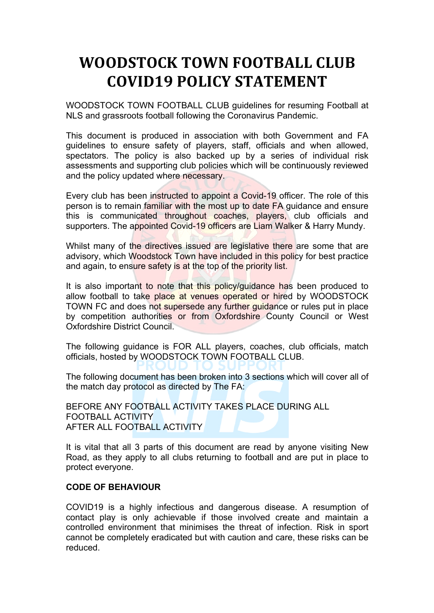# **WOODSTOCK TOWN FOOTBALL CLUB COVID19 POLICY STATEMENT**

WOODSTOCK TOWN FOOTBALL CLUB guidelines for resuming Football at NLS and grassroots football following the Coronavirus Pandemic.

This document is produced in association with both Government and FA guidelines to ensure safety of players, staff, officials and when allowed, spectators. The policy is also backed up by a series of individual risk assessments and supporting club policies which will be continuously reviewed and the policy updated where necessary.

Every club has been instructed to appoint a Covid-19 officer. The role of this person is to remain familiar with the most up to date FA guidance and ensure this is communicated throughout coaches, players, club officials and supporters. The appointed Covid-19 officers are Liam Walker & Harry Mundy.

Whilst many of the directives issued are legislative there are some that are advisory, which Woodstock Town have included in this policy for best practice and again, to ensure safety is at the top of the priority list.

It is also important to note that this policy/guidance has been produced to allow football to take place at venues operated or hired by WOODSTOCK TOWN FC and does not supersede any further guidance or rules put in place by competition authorities or from Oxfordshire County Council or West Oxfordshire District Council.

The following guidance is FOR ALL players, coaches, club officials, match officials, hosted by WOODSTOCK TOWN FOOTBALL CLUB.

The following document has been broken into 3 sections which will cover all of the match day protocol as directed by The FA:

BEFORE ANY FOOTBALL ACTIVITY TAKES PLACE DURING ALL FOOTBALL ACTIVITY AFTER ALL FOOTBALL ACTIVITY

It is vital that all 3 parts of this document are read by anyone visiting New Road, as they apply to all clubs returning to football and are put in place to protect everyone.

## **CODE OF BEHAVIOUR**

COVID19 is a highly infectious and dangerous disease. A resumption of contact play is only achievable if those involved create and maintain a controlled environment that minimises the threat of infection. Risk in sport cannot be completely eradicated but with caution and care, these risks can be reduced.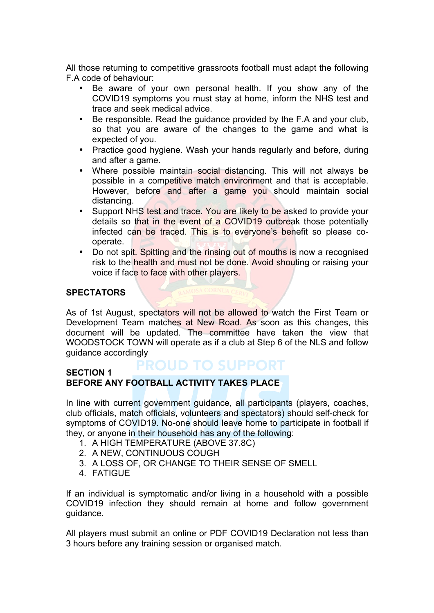All those returning to competitive grassroots football must adapt the following F.A code of behaviour:

- Be aware of your own personal health. If you show any of the COVID19 symptoms you must stay at home, inform the NHS test and trace and seek medical advice.
- Be responsible. Read the guidance provided by the F.A and your club, so that you are aware of the changes to the game and what is expected of you.
- Practice good hygiene. Wash your hands regularly and before, during and after a game.
- Where possible maintain social distancing. This will not always be possible in a competitive match environment and that is acceptable. However, before and after a game you should maintain social distancing.
- Support NHS test and trace. You are likely to be asked to provide your details so that in the event of a COVID19 outbreak those potentially infected can be traced. This is to everyone's benefit so please cooperate.
- Do not spit. Spitting and the rinsing out of mouths is now a recognised risk to the health and must not be done. Avoid shouting or raising your voice if face to face with other players.

# **SPECTATORS**

As of 1st August, spectators will not be allowed to watch the First Team or Development Team matches at New Road. As soon as this changes, this document will be updated. The committee have taken the view that WOODSTOCK TOWN will operate as if a club at Step 6 of the NLS and follow guidance accordingly

#### **ROUD TO SUPPORT SECTION 1 BEFORE ANY FOOTBALL ACTIVITY TAKES PLACE**

In line with current government guidance, all participants (players, coaches, club officials, match officials, volunteers and spectators) should self-check for symptoms of COVID19. No-one should leave home to participate in football if they, or anyone in their household has any of the following:

- 1. A HIGH TEMPERATURE (ABOVE 37.8C)
- 2. A NEW, CONTINUOUS COUGH
- 3. A LOSS OF, OR CHANGE TO THEIR SENSE OF SMELL
- 4. FATIGUE

If an individual is symptomatic and/or living in a household with a possible COVID19 infection they should remain at home and follow government guidance.

All players must submit an online or PDF COVID19 Declaration not less than 3 hours before any training session or organised match.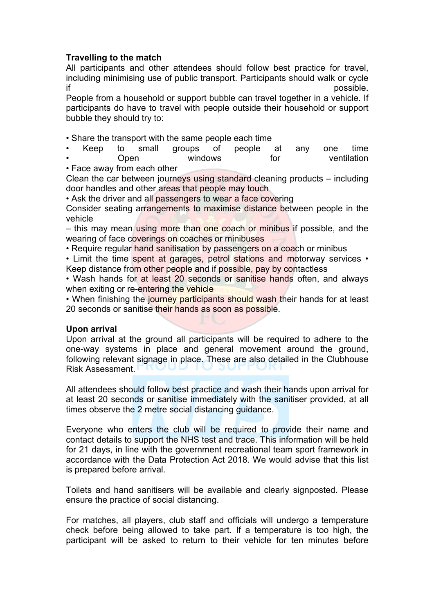## **Travelling to the match**

All participants and other attendees should follow best practice for travel, including minimising use of public transport. Participants should walk or cycle  $\blacksquare$ if possible.

People from a household or support bubble can travel together in a vehicle. If participants do have to travel with people outside their household or support bubble they should try to:

• Share the transport with the same people each time

• Keep to small groups of people at any one time **Open** windows for ventilation

• Face away from each other Clean the car between journeys using standard cleaning products – including

door handles and other areas that people may touch

• Ask the driver and all passengers to wear a face covering

Consider seating arrangements to maximise distance between people in the vehicle

– this may mean using more than one coach or minibus if possible, and the wearing of face coverings on coaches or minibuses

• Require regular hand sanitisation by passengers on a coach or minibus

• Limit the time spent at garages, petrol stations and motorway services • Keep distance from other people and if possible, pay by contactless

• Wash hands for at least 20 seconds or sanitise hands often, and always when exiting or re-entering the vehicle

• When finishing the journey participants should wash their hands for at least 20 seconds or sanitise their hands as soon as possible.

## **Upon arrival**

Upon arrival at the ground all participants will be required to adhere to the one-way systems in place and general movement around the ground, following relevant signage in place. These are also detailed in the Clubhouse Risk Assessment.

All attendees should follow best practice and wash their hands upon arrival for at least 20 seconds or sanitise immediately with the sanitiser provided, at all times observe the 2 metre social distancing guidance.

Everyone who enters the club will be required to provide their name and contact details to support the NHS test and trace. This information will be held for 21 days, in line with the government recreational team sport framework in accordance with the Data Protection Act 2018. We would advise that this list is prepared before arrival.

Toilets and hand sanitisers will be available and clearly signposted. Please ensure the practice of social distancing.

For matches, all players, club staff and officials will undergo a temperature check before being allowed to take part. If a temperature is too high, the participant will be asked to return to their vehicle for ten minutes before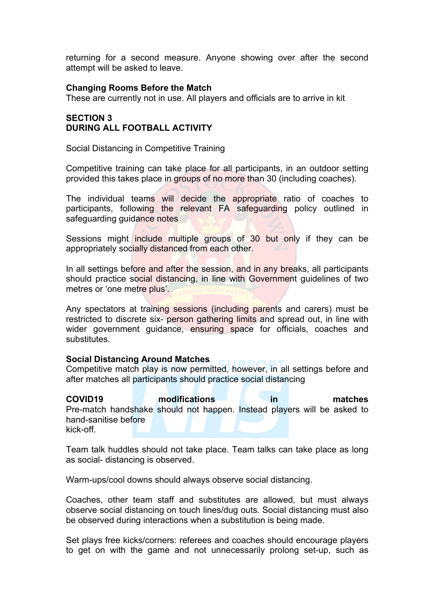returning for a second measure. Anyone showing over after the second attempt will be asked to leave.

#### **Changing Rooms Before the Match**

These are currently not in use. All players and officials are to arrive in kit

## **SECTION 3 DURING ALL FOOTBALL ACTIVITY**

Social Distancing in Competitive Training

Competitive training can take place for all participants, in an outdoor setting provided this takes place in groups of no more than 30 (including coaches).

The individual teams will decide the appropriate ratio of coaches to participants, following the relevant FA safeguarding policy outlined in safeguarding quidance notes

Sessions might include multiple groups of 30 but only if they can be appropriately socially distanced from each other.

In all settings before and after the session, and in any breaks, all participants should practice social distancing, in line with Government guidelines of two metres or 'one metre plus'.

Any spectators at training sessions (including parents and carers) must be restricted to discrete six- person gathering limits and spread out, in line with wider government guidance, ensuring space for officials, coaches and substitutes.

#### **Social Distancing Around Matches**

Competitive match play is now permitted, however, in all settings before and after matches all participants should practice social distancing

**COVID19 modifications in matches** Pre-match handshake should not happen. Instead players will be asked to hand-sanitise before kick-off.

Team talk huddles should not take place. Team talks can take place as long as social- distancing is observed.

Warm-ups/cool downs should always observe social distancing.

Coaches, other team staff and substitutes are allowed, but must always observe social distancing on touch lines/dug outs. Social distancing must also be observed during interactions when a substitution is being made.

Set plays free kicks/corners: referees and coaches should encourage players to get on with the game and not unnecessarily prolong set-up, such as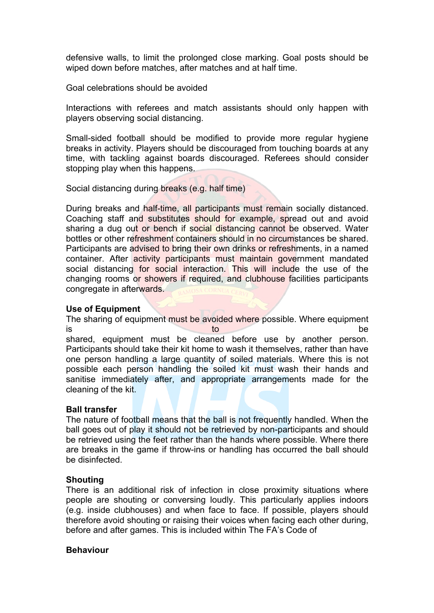defensive walls, to limit the prolonged close marking. Goal posts should be wiped down before matches, after matches and at half time.

Goal celebrations should be avoided

Interactions with referees and match assistants should only happen with players observing social distancing.

Small-sided football should be modified to provide more regular hygiene breaks in activity. Players should be discouraged from touching boards at any time, with tackling against boards discouraged. Referees should consider stopping play when this happens.

Social distancing during breaks (e.g. half time)

During breaks and half-time, all participants must remain socially distanced. Coaching staff and substitutes should for example, spread out and avoid sharing a dug out or bench if social distancing cannot be observed. Water bottles or other refreshment containers should in no circumstances be shared. Participants are advised to bring their own drinks or refreshments, in a named container. After activity participants must maintain government mandated social distancing for social interaction. This will include the use of the changing rooms or showers if required, and clubhouse facilities participants congregate in afterwards.

#### **Use of Equipment**

The sharing of equipment must be avoided where possible. Where equipment is to be shared, equipment must be cleaned before use by another person. Participants should take their kit home to wash it themselves, rather than have one person handling a large quantity of soiled materials. Where this is not possible each person handling the soiled kit must wash their hands and sanitise immediately after, and appropriate arrangements made for the cleaning of the kit.

#### **Ball transfer**

The nature of football means that the ball is not frequently handled. When the ball goes out of play it should not be retrieved by non-participants and should be retrieved using the feet rather than the hands where possible. Where there are breaks in the game if throw-ins or handling has occurred the ball should be disinfected.

#### **Shouting**

There is an additional risk of infection in close proximity situations where people are shouting or conversing loudly. This particularly applies indoors (e.g. inside clubhouses) and when face to face. If possible, players should therefore avoid shouting or raising their voices when facing each other during, before and after games. This is included within The FA's Code of

#### **Behaviour**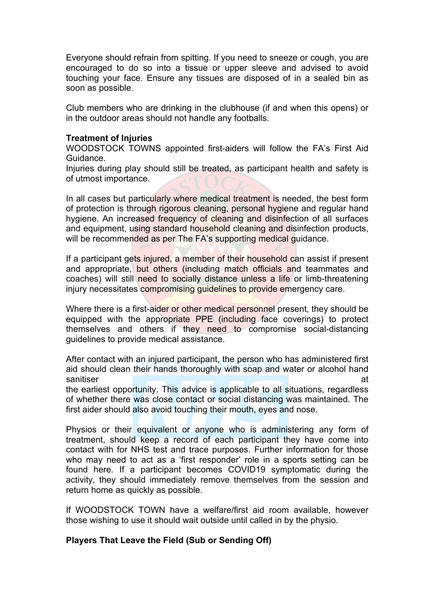Everyone should refrain from spitting. If you need to sneeze or cough, you are encouraged to do so into a tissue or upper sleeve and advised to avoid touching your face. Ensure any tissues are disposed of in a sealed bin as soon as possible.

Club members who are drinking in the clubhouse (if and when this opens) or in the outdoor areas should not handle any footballs.

#### **Treatment of Injuries**

WOODSTOCK TOWNS appointed first-aiders will follow the FA's First Aid Guidance.

Injuries during play should still be treated, as participant health and safety is of utmost importance.

In all cases but particularly where medical treatment is needed, the best form of protection is through rigorous cleaning, personal hygiene and regular hand hygiene. An increased frequency of cleaning and disinfection of all surfaces and equipment, using standard household cleaning and disinfection products, will be recommended as per The FA's supporting medical quidance.

If a participant gets injured, a member of their household can assist if present and appropriate, but others (including match officials and teammates and coaches) will still need to socially distance unless a life or limb-threatening injury necessitates compromising guidelines to provide emergency care.

Where there is a first-aider or other medical personnel present, they should be equipped with the appropriate PPE (including face coverings) to protect themselves and others if they need to compromise social-distancing guidelines to provide medical assistance.

After contact with an injured participant, the person who has administered first aid should clean their hands thoroughly with soap and water or alcohol hand sanitiser at the same of the same of the same of the same of the same of the same of the same of the same of the

the earliest opportunity. This advice is applicable to all situations, regardless of whether there was close contact or social distancing was maintained. The first aider should also avoid touching their mouth, eyes and nose.

Physios or their equivalent or anyone who is administering any form of treatment, should keep a record of each participant they have come into contact with for NHS test and trace purposes. Further information for those who may need to act as a 'first responder' role in a sports setting can be found here. If a participant becomes COVID19 symptomatic during the activity, they should immediately remove themselves from the session and return home as quickly as possible.

If WOODSTOCK TOWN have a welfare/first aid room available, however those wishing to use it should wait outside until called in by the physio.

## **Players That Leave the Field (Sub or Sending Off)**